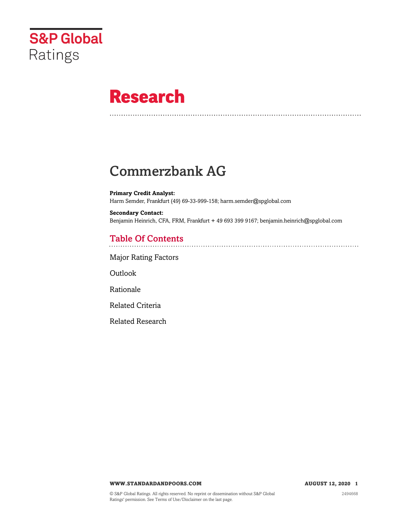

# **Research**

# Commerzbank AG

**Primary Credit Analyst:** Harm Semder, Frankfurt (49) 69-33-999-158; harm.semder@spglobal.com

**Secondary Contact:** Benjamin Heinrich, CFA, FRM, Frankfurt + 49 693 399 9167; benjamin.heinrich@spglobal.com

# Table Of Contents

[Major Rating Factors](#page-1-0)

[Outlook](#page--1-0)

[Rationale](#page-2-0)

[Related Criteria](#page-6-0)

[Related Research](#page-6-1)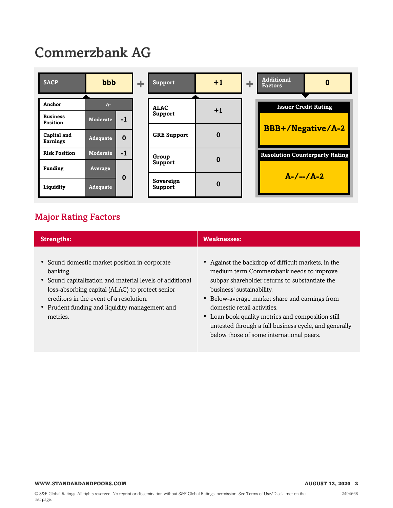# Commerzbank AG



# <span id="page-1-0"></span>Major Rating Factors

| <b>Strengths:</b>                                                                                                                                                                                                                                                                 | <b>Weaknesses:</b>                                                                                                                                                                                                                                                                                                                                                                                                        |  |  |  |  |
|-----------------------------------------------------------------------------------------------------------------------------------------------------------------------------------------------------------------------------------------------------------------------------------|---------------------------------------------------------------------------------------------------------------------------------------------------------------------------------------------------------------------------------------------------------------------------------------------------------------------------------------------------------------------------------------------------------------------------|--|--|--|--|
| • Sound domestic market position in corporate<br>banking.<br>• Sound capitalization and material levels of additional<br>loss-absorbing capital (ALAC) to protect senior<br>creditors in the event of a resolution.<br>• Prudent funding and liquidity management and<br>metrics. | • Against the backdrop of difficult markets, in the<br>medium term Commerzbank needs to improve<br>subpar shareholder returns to substantiate the<br>business' sustainability.<br>• Below-average market share and earnings from<br>domestic retail activities.<br>• Loan book quality metrics and composition still<br>untested through a full business cycle, and generally<br>below those of some international peers. |  |  |  |  |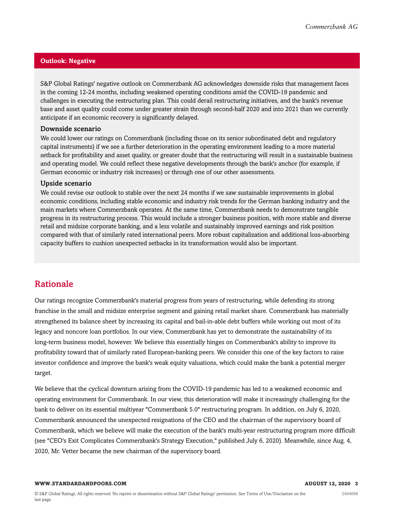#### **Outlook: Negative**

S&P Global Ratings' negative outlook on Commerzbank AG acknowledges downside risks that management faces in the coming 12-24 months, including weakened operating conditions amid the COVID-19 pandemic and challenges in executing the restructuring plan. This could derail restructuring initiatives, and the bank's revenue base and asset quality could come under greater strain through second-half 2020 and into 2021 than we currently anticipate if an economic recovery is significantly delayed.

#### Downside scenario

We could lower our ratings on Commerzbank (including those on its senior subordinated debt and regulatory capital instruments) if we see a further deterioration in the operating environment leading to a more material setback for profitability and asset quality, or greater doubt that the restructuring will result in a sustainable business and operating model. We could reflect these negative developments through the bank's anchor (for example, if German economic or industry risk increases) or through one of our other assessments.

#### Upside scenario

We could revise our outlook to stable over the next 24 months if we saw sustainable improvements in global economic conditions, including stable economic and industry risk trends for the German banking industry and the main markets where Commerzbank operates. At the same time, Commerzbank needs to demonstrate tangible progress in its restructuring process. This would include a stronger business position, with more stable and diverse retail and midsize corporate banking, and a less volatile and sustainably improved earnings and risk position compared with that of similarly rated international peers. More robust capitalization and additional loss-absorbing capacity buffers to cushion unexpected setbacks in its transformation would also be important.

## <span id="page-2-0"></span>Rationale

Our ratings recognize Commerzbank's material progress from years of restructuring, while defending its strong franchise in the small and midsize enterprise segment and gaining retail market share. Commerzbank has materially strengthened its balance sheet by increasing its capital and bail-in-able debt buffers while working out most of its legacy and noncore loan portfolios. In our view, Commerzbank has yet to demonstrate the sustainability of its long-term business model, however. We believe this essentially hinges on Commerzbank's ability to improve its profitability toward that of similarly rated European-banking peers. We consider this one of the key factors to raise investor confidence and improve the bank's weak equity valuations, which could make the bank a potential merger target.

We believe that the cyclical downturn arising from the COVID-19 pandemic has led to a weakened economic and operating environment for Commerzbank. In our view, this deterioration will make it increasingly challenging for the bank to deliver on its essential multiyear "Commerzbank 5.0" restructuring program. In addition, on July 6, 2020, Commerzbank announced the unexpected resignations of the CEO and the chairman of the supervisory board of Commerzbank, which we believe will make the execution of the bank's multi-year restructuring program more difficult (see "CEO's Exit Complicates Commerzbank's Strategy Execution," published July 6, 2020). Meanwhile, since Aug. 4, 2020, Mr. Vetter became the new chairman of the supervisory board.

#### **WWW.STANDARDANDPOORS.COM AUGUST 12, 2020 3**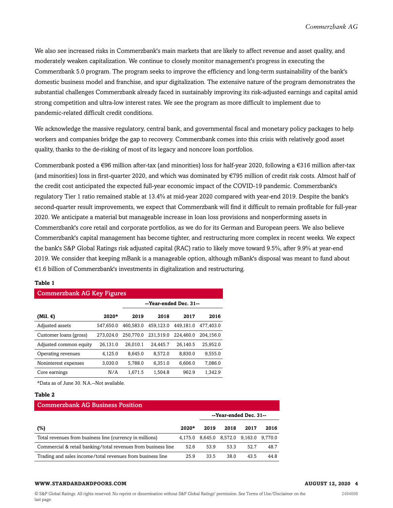We also see increased risks in Commerzbank's main markets that are likely to affect revenue and asset quality, and moderately weaken capitalization. We continue to closely monitor management's progress in executing the Commerzbank 5.0 program. The program seeks to improve the efficiency and long-term sustainability of the bank's domestic business model and franchise, and spur digitalization. The extensive nature of the program demonstrates the substantial challenges Commerzbank already faced in sustainably improving its risk-adjusted earnings and capital amid strong competition and ultra-low interest rates. We see the program as more difficult to implement due to pandemic-related difficult credit conditions.

We acknowledge the massive regulatory, central bank, and governmental fiscal and monetary policy packages to help workers and companies bridge the gap to recovery. Commerzbank comes into this crisis with relatively good asset quality, thanks to the de-risking of most of its legacy and noncore loan portfolios.

Commerzbank posted a €96 million after-tax (and minorities) loss for half-year 2020, following a €316 million after-tax (and minorities) loss in first-quarter 2020, and which was dominated by €795 million of credit risk costs. Almost half of the credit cost anticipated the expected full-year economic impact of the COVID-19 pandemic. Commerzbank's regulatory Tier 1 ratio remained stable at 13.4% at mid-year 2020 compared with year-end 2019. Despite the bank's second-quarter result improvements, we expect that Commerzbank will find it difficult to remain profitable for full-year 2020. We anticipate a material but manageable increase in loan loss provisions and nonperforming assets in Commerzbank's core retail and corporate portfolios, as we do for its German and European peers. We also believe Commerzbank's capital management has become tighter, and restructuring more complex in recent weeks. We expect the bank's S&P Global Ratings risk adjusted capital (RAC) ratio to likely move toward 9.5%, after 9.9% at year-end 2019. We consider that keeping mBank is a manageable option, although mBank's disposal was meant to fund about €1.6 billion of Commerzbank's investments in digitalization and restructuring.

#### **Table 1**

| <b>Commerzbank AG Key Figures</b> |           |                        |           |           |           |  |  |  |
|-----------------------------------|-----------|------------------------|-----------|-----------|-----------|--|--|--|
|                                   |           | --Year-ended Dec. 31-- |           |           |           |  |  |  |
| (Mil. €)                          | $2020*$   | 2019                   | 2018      | 2017      | 2016      |  |  |  |
| Adjusted assets                   | 547.650.0 | 460.583.0              | 459.123.0 | 449,181.0 | 477.403.0 |  |  |  |
| Customer loans (gross)            | 273,024.0 | 250,770.0              | 231.519.0 | 224.460.0 | 204.156.0 |  |  |  |
| Adjusted common equity            | 26.131.0  | 26.010.1               | 24.445.7  | 26.140.5  | 25.952.0  |  |  |  |
| Operating revenues                | 4.125.0   | 8.645.0                | 8.572.0   | 8.830.0   | 9.555.0   |  |  |  |
| Noninterest expenses              | 3,030.0   | 5.788.0                | 6.351.0   | 6.606.0   | 7.086.0   |  |  |  |
| Core earnings                     | N/A       | 1,671.5                | 1,504.8   | 962.9     | 1.342.9   |  |  |  |

#### \*Data as of June 30. N.A.--Not available.

#### **Table 2**

| Commerzbank AG Business Position                              |         |      |      |                                 |      |  |  |  |
|---------------------------------------------------------------|---------|------|------|---------------------------------|------|--|--|--|
|                                                               |         |      |      | --Year-ended Dec. 31--          |      |  |  |  |
| (%)                                                           | $2020*$ | 2019 | 2018 | 2017                            | 2016 |  |  |  |
| Total revenues from business line (currency in millions)      | 4.175.0 |      |      | 8,645.0 8,572.0 9,163.0 9,770.0 |      |  |  |  |
| Commercial & retail banking/total revenues from business line | 52.6    | 53.9 | 53.3 | 52.7                            | 48.7 |  |  |  |
| Trading and sales income/total revenues from business line    | 25.9    | 33.5 | 38.0 | 43.5                            | 44.8 |  |  |  |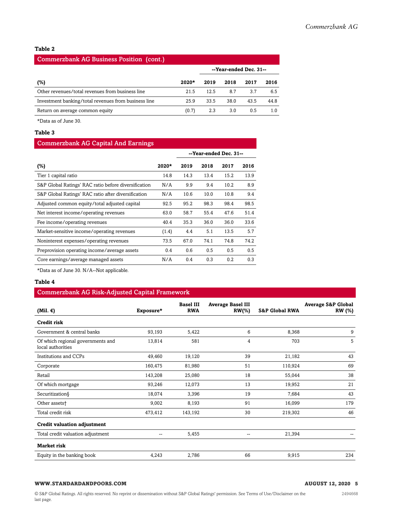#### **Table 2**

| <b>Commerzbank AG Business Position (cont.)</b>      |         |      |      |                        |      |  |  |  |
|------------------------------------------------------|---------|------|------|------------------------|------|--|--|--|
|                                                      |         |      |      | --Year-ended Dec. 31-- |      |  |  |  |
| (%)                                                  | $2020*$ | 2019 | 2018 | 2017                   | 2016 |  |  |  |
| Other revenues/total revenues from business line     | 21.5    | 12.5 | 8.7  | 3.7                    | 6.5  |  |  |  |
| Investment banking/total revenues from business line | 25.9    | 33.5 | 38.0 | 43.5                   | 44.8 |  |  |  |
| Return on average common equity                      | (0.7)   | 2.3  | 3.0  | 0.5                    | 1.0  |  |  |  |

\*Data as of June 30.

#### **Table 3**

| <b>Commerzbank AG Capital And Earnings</b>           |         |                        |      |      |      |  |  |  |
|------------------------------------------------------|---------|------------------------|------|------|------|--|--|--|
|                                                      |         | --Year-ended Dec. 31-- |      |      |      |  |  |  |
| $(\%)$                                               | $2020*$ | 2019                   | 2018 | 2017 | 2016 |  |  |  |
| Tier 1 capital ratio                                 | 14.8    | 14.3                   | 13.4 | 15.2 | 13.9 |  |  |  |
| S&P Global Ratings' RAC ratio before diversification | N/A     | 9.9                    | 9.4  | 10.2 | 8.9  |  |  |  |
| S&P Global Ratings' RAC ratio after diversification  | N/A     | 10.6                   | 10.0 | 10.8 | 9.4  |  |  |  |
| Adjusted common equity/total adjusted capital        | 92.5    | 95.2                   | 98.3 | 98.4 | 98.5 |  |  |  |
| Net interest income/operating revenues               | 63.0    | 58.7                   | 55.4 | 47.6 | 51.4 |  |  |  |
| Fee income/operating revenues                        | 40.4    | 35.3                   | 36.0 | 36.0 | 33.6 |  |  |  |
| Market-sensitive income/operating revenues           | (1.4)   | 4.4                    | 5.1  | 13.5 | 5.7  |  |  |  |
| Noninterest expenses/operating revenues              | 73.5    | 67.0                   | 74.1 | 74.8 | 74.2 |  |  |  |
| Preprovision operating income/average assets         | 0.4     | 0.6                    | 0.5  | 0.5  | 0.5  |  |  |  |
| Core earnings/average managed assets                 | N/A     | 0.4                    | 0.3  | 0.2  | 0.3  |  |  |  |

\*Data as of June 30. N/A--Not applicable.

#### **Table 4**

#### Commerzbank AG Risk-Adjusted Capital Framework

| (Mil. $\epsilon$ )                                     | Exposure* | <b>Basel III</b><br><b>RWA</b> | <b>Average Basel III</b><br>$RW(\% )$ | <b>S&amp;P Global RWA</b> | <b>Average S&amp;P Global</b><br>RW (%) |
|--------------------------------------------------------|-----------|--------------------------------|---------------------------------------|---------------------------|-----------------------------------------|
| Credit risk                                            |           |                                |                                       |                           |                                         |
| Government & central banks                             | 93,193    | 5,422                          | 6                                     | 8,368                     | 9                                       |
| Of which regional governments and<br>local authorities | 13,814    | 581                            | 4                                     | 703                       | 5                                       |
| Institutions and CCPs                                  | 49,460    | 19,120                         | 39                                    | 21,182                    | 43                                      |
| Corporate                                              | 160,475   | 81,980                         | 51                                    | 110,924                   | 69                                      |
| Retail                                                 | 143,208   | 25,080                         | 18                                    | 55,044                    | 38                                      |
| Of which mortgage                                      | 93,246    | 12,073                         | 13                                    | 19,952                    | 21                                      |
| Securitization§                                        | 18,074    | 3,396                          | 19                                    | 7,684                     | 43                                      |
| Other assets <sup>+</sup>                              | 9,002     | 8,193                          | 91                                    | 16,099                    | 179                                     |
| Total credit risk                                      | 473,412   | 143,192                        | 30                                    | 219,302                   | 46                                      |
| <b>Credit valuation adjustment</b>                     |           |                                |                                       |                           |                                         |
| Total credit valuation adjustment                      | $- -$     | 5,455                          | --                                    | 21,394                    |                                         |
| Market risk                                            |           |                                |                                       |                           |                                         |
| Equity in the banking book                             | 4,243     | 2,786                          | 66                                    | 9,915                     | 234                                     |

### **WWW.STANDARDANDPOORS.COM AUGUST 12, 2020 5**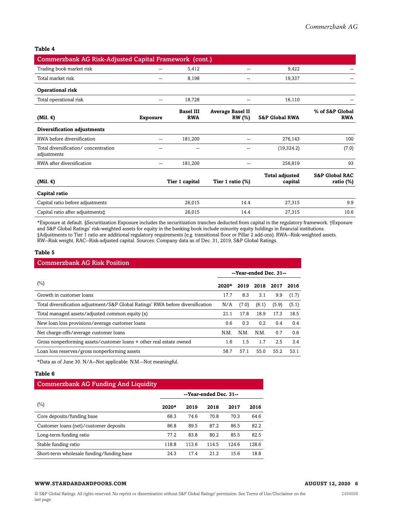**Table 4**

| Commerzbank AG Risk-Adjusted Capital Framework (cont.) |                   |                                |                                          |                                  |                                           |  |  |  |  |
|--------------------------------------------------------|-------------------|--------------------------------|------------------------------------------|----------------------------------|-------------------------------------------|--|--|--|--|
| Trading book market risk                               | --                | 5,412                          | $-$                                      | 9,422                            |                                           |  |  |  |  |
| Total market risk                                      | --                | 8,198                          |                                          | 19,337                           |                                           |  |  |  |  |
| <b>Operational risk</b>                                |                   |                                |                                          |                                  |                                           |  |  |  |  |
| Total operational risk                                 | $\qquad \qquad -$ | 18,728                         |                                          | 16,110                           |                                           |  |  |  |  |
| (Mil. $\epsilon$ )                                     | <b>Exposure</b>   | <b>Basel III</b><br><b>RWA</b> | <b>Average Basel II</b><br><b>RW</b> (%) | <b>S&amp;P Global RWA</b>        | % of S&P Global<br><b>RWA</b>             |  |  |  |  |
| Diversification adjustments                            |                   |                                |                                          |                                  |                                           |  |  |  |  |
| RWA before diversification                             | --                | 181,200                        |                                          | 276,143                          | 100                                       |  |  |  |  |
| Total diversification/concentration<br>adjustments     | --                |                                |                                          | (19, 324.2)                      | (7.0)                                     |  |  |  |  |
| RWA after diversification                              | $\sim$ $\sim$     | 181,200                        | --                                       | 256,819                          | 93                                        |  |  |  |  |
| (Mil. $\epsilon$ )                                     |                   | Tier 1 capital                 | Tier 1 ratio $(\%)$                      | <b>Total adjusted</b><br>capital | <b>S&amp;P Global RAC</b><br>ratio $(\%)$ |  |  |  |  |
| Capital ratio                                          |                   |                                |                                          |                                  |                                           |  |  |  |  |
| Capital ratio before adjustments                       |                   | 26,015                         | 14.4                                     | 27,315                           | 9.9                                       |  |  |  |  |
| Capital ratio after adjustments‡                       |                   | 26,015                         | 14.4                                     | 27,315                           | 10.6                                      |  |  |  |  |

\*Exposure at default. §Securitization Exposure includes the securitization tranches deducted from capital in the regulatory framework. †Exposure and S&P Global Ratings' risk-weighted assets for equity in the banking book include minority equity holdings in financial institutions. ‡Adjustments to Tier 1 ratio are additional regulatory requirements (e.g. transitional floor or Pillar 2 add-ons). RWA--Risk-weighted assets. RW--Risk weight. RAC--Risk-adjusted capital. Sources: Company data as of Dec. 31, 2019, S&P Global Ratings.

#### **Table 5**

| <b>Commerzbank AG Risk Position</b>                                             |         |       |                        |       |       |
|---------------------------------------------------------------------------------|---------|-------|------------------------|-------|-------|
|                                                                                 |         |       | --Year-ended Dec. 31-- |       |       |
| $(\%)$                                                                          | $2020*$ | 2019  | 2018                   | 2017  | 2016  |
| Growth in customer loans                                                        | 17.7    | 8.3   | 3.1                    | 9.9   | (1.7) |
| Total diversification adjustment/S&P Global Ratings' RWA before diversification | N/A     | (7.0) | (6.1)                  | (5.9) | (5.1) |
| Total managed assets/adjusted common equity (x)                                 | 21.1    | 17.8  | 18.9                   | 17.3  | 18.5  |
| New loan loss provisions/average customer loans                                 | 0.6     | 0.3   | 0.2                    | 0.4   | 0.4   |
| Net charge-offs/average customer loans                                          | N.M.    | N.M.  | N.M.                   | 0.7   | 0.6   |
| Gross nonperforming assets/customer loans + other real estate owned             | 1.6     | 1.5   | 1.7                    | 2.5   | 3.4   |
| Loan loss reserves/gross nonperforming assets                                   | 58.7    | 57.1  | 55.0                   | 55.2  | 53.1  |

\*Data as of June 30. N/A--Not applicable. N.M.--Not meaningful.

#### **Table 6**

### Commerzhank AC Funding And Liquidity

| Commicrabank AO I unding And Eighnity     |                        |       |       |       |       |  |
|-------------------------------------------|------------------------|-------|-------|-------|-------|--|
|                                           | --Year-ended Dec. 31-- |       |       |       |       |  |
| $(\%)$                                    | 2020*                  | 2019  | 2018  | 2017  | 2016  |  |
| Core deposits/funding base                | 68.3                   | 74.6  | 70.8  | 70.3  | 64.6  |  |
| Customer loans (net)/customer deposits    | 86.8                   | 89.5  | 87.2  | 86.5  | 82.2  |  |
| Long-term funding ratio                   | 77.2                   | 83.8  | 80.2  | 85.5  | 82.5  |  |
| Stable funding ratio                      | 118.8                  | 113.6 | 114.5 | 124.6 | 128.6 |  |
| Short-term wholesale funding/funding base | 24.3                   | 17.4  | 21.2  | 15.6  | 18.8  |  |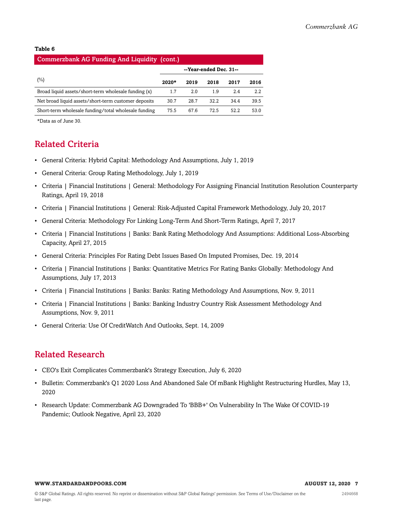#### **Table 6**

| <b>Commerzbank AG Funding And Liquidity (cont.)</b>  |                        |      |      |      |      |  |  |  |
|------------------------------------------------------|------------------------|------|------|------|------|--|--|--|
|                                                      | --Year-ended Dec. 31-- |      |      |      |      |  |  |  |
| $(\%)$                                               | $2020*$                | 2019 | 2018 | 2017 | 2016 |  |  |  |
| Broad liquid assets/short-term wholesale funding (x) | 1.7                    | 2.0  | 1.9  | 2.4  | 2.2  |  |  |  |
| Net broad liquid assets/short-term customer deposits | 30.7                   | 28.7 | 32.2 | 344  | 39.5 |  |  |  |
| Short-term wholesale funding/total wholesale funding | 75.5                   | 67.6 | 72.5 | 52.2 | 53.0 |  |  |  |

<span id="page-6-0"></span>\*Data as of June 30.

## Related Criteria

- General Criteria: Hybrid Capital: Methodology And Assumptions, July 1, 2019
- General Criteria: Group Rating Methodology, July 1, 2019
- Criteria | Financial Institutions | General: Methodology For Assigning Financial Institution Resolution Counterparty Ratings, April 19, 2018
- Criteria | Financial Institutions | General: Risk-Adjusted Capital Framework Methodology, July 20, 2017
- General Criteria: Methodology For Linking Long-Term And Short-Term Ratings, April 7, 2017
- Criteria | Financial Institutions | Banks: Bank Rating Methodology And Assumptions: Additional Loss-Absorbing Capacity, April 27, 2015
- General Criteria: Principles For Rating Debt Issues Based On Imputed Promises, Dec. 19, 2014
- Criteria | Financial Institutions | Banks: Quantitative Metrics For Rating Banks Globally: Methodology And Assumptions, July 17, 2013
- Criteria | Financial Institutions | Banks: Banks: Rating Methodology And Assumptions, Nov. 9, 2011
- Criteria | Financial Institutions | Banks: Banking Industry Country Risk Assessment Methodology And Assumptions, Nov. 9, 2011
- General Criteria: Use Of CreditWatch And Outlooks, Sept. 14, 2009

# <span id="page-6-1"></span>Related Research

- CEO's Exit Complicates Commerzbank's Strategy Execution, July 6, 2020
- Bulletin: Commerzbank's Q1 2020 Loss And Abandoned Sale Of mBank Highlight Restructuring Hurdles, May 13, 2020
- Research Update: Commerzbank AG Downgraded To 'BBB+' On Vulnerability In The Wake Of COVID-19 Pandemic; Outlook Negative, April 23, 2020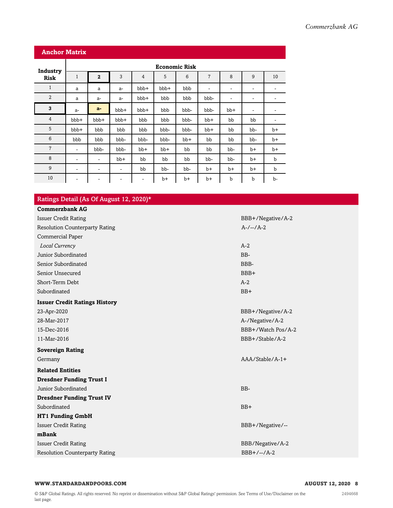| <b>Anchor Matrix</b> |                          |                              |      |                |      |      |                          |       |                          |                          |
|----------------------|--------------------------|------------------------------|------|----------------|------|------|--------------------------|-------|--------------------------|--------------------------|
| Industry             | <b>Economic Risk</b>     |                              |      |                |      |      |                          |       |                          |                          |
| <b>Risk</b>          | $\mathbf{1}$             | $\overline{2}$               | 3    | $\overline{4}$ | 5    | 6    | 7                        | 8     | 9                        | 10                       |
| $\mathbf{1}$         | a                        | a                            | $a-$ | bbb+           | bbb+ | bbb  | $\overline{\phantom{a}}$ | ٠     | $\overline{\phantom{a}}$ | $\overline{\phantom{a}}$ |
| $\overline{2}$       | a                        | $a-$                         | $a-$ | bbb+           | bbb  | bbb  | bbb-                     | -     | ٠                        | -                        |
| 3                    | $a-$                     | $a-$                         | bbb+ | bbb+           | bbb  | bbb- | bbb-                     | $bb+$ | -                        | $\overline{\phantom{a}}$ |
| $\overline{4}$       | bbb+                     | bbb+                         | bbb+ | bbb            | bbb  | bbb- | $bb+$                    | bb    | bb                       |                          |
| 5                    | bbb+                     | bbb                          | bbb  | bbb            | bbb- | bbb- | bb+                      | bb    | bb-                      | $b+$                     |
| 6                    | bbb                      | bbb                          | bbb- | bbb-           | bbb- | bb+  | bb                       | bb    | bb-                      | $b+$                     |
| $\overline{7}$       | $\overline{\phantom{a}}$ | bbb-                         | bbb- | $bb+$          | bb+  | bb   | bb                       | bb-   | $b+$                     | $b+$                     |
| 8                    | -                        | $\qquad \qquad \blacksquare$ | bb+  | bb             | bb   | bb   | bb-                      | bb-   | $b+$                     | b                        |
| 9                    | -                        | $\overline{\phantom{a}}$     | ۰    | bb             | bb-  | bb-  | b+                       | b+    | $b+$                     | $\mathbf b$              |
| 10                   | ۰                        | $\qquad \qquad \blacksquare$ | ۰    | ٠              | $b+$ | $b+$ | $b+$                     | b     | b                        | b-                       |

### Ratings Detail (As Of August 12, 2020)\*

| <b>Commerzbank AG</b>                 |                    |
|---------------------------------------|--------------------|
| <b>Issuer Credit Rating</b>           | BBB+/Negative/A-2  |
| <b>Resolution Counterparty Rating</b> | $A-/-/A-2$         |
| Commercial Paper                      |                    |
| Local Currency                        | $A-2$              |
| Junior Subordinated                   | BB-                |
| Senior Subordinated                   | BBB-               |
| Senior Unsecured                      | BBB+               |
| Short-Term Debt                       | $A-2$              |
| Subordinated                          | $BB+$              |
| <b>Issuer Credit Ratings History</b>  |                    |
| 23-Apr-2020                           | BBB+/Negative/A-2  |
| 28-Mar-2017                           | A-/Negative/A-2    |
| 15-Dec-2016                           | BBB+/Watch Pos/A-2 |
| 11-Mar-2016                           | BBB+/Stable/A-2    |
| <b>Sovereign Rating</b>               |                    |
| Germany                               | AAA/Stable/A-1+    |
| <b>Related Entities</b>               |                    |
| <b>Dresdner Funding Trust I</b>       |                    |
| Junior Subordinated                   | BB-                |
| <b>Dresdner Funding Trust IV</b>      |                    |
| Subordinated                          | $BB+$              |
| <b>HT1 Funding GmbH</b>               |                    |
| <b>Issuer Credit Rating</b>           | BBB+/Negative/--   |
| mBank                                 |                    |
| <b>Issuer Credit Rating</b>           | BBB/Negative/A-2   |
| <b>Resolution Counterparty Rating</b> | $BBB+/-/A-2$       |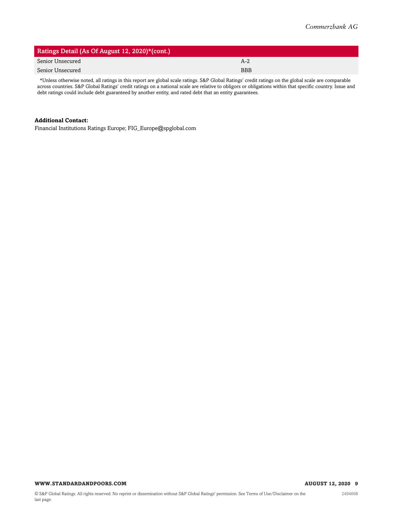| Ratings Detail (As Of August 12, 2020)*(cont.) |            |
|------------------------------------------------|------------|
| Senior Unsecured                               | $A-2$      |
| Senior Unsecured                               | <b>BBB</b> |

\*Unless otherwise noted, all ratings in this report are global scale ratings. S&P Global Ratings' credit ratings on the global scale are comparable across countries. S&P Global Ratings' credit ratings on a national scale are relative to obligors or obligations within that specific country. Issue and debt ratings could include debt guaranteed by another entity, and rated debt that an entity guarantees.

#### **Additional Contact:**

Financial Institutions Ratings Europe; FIG\_Europe@spglobal.com